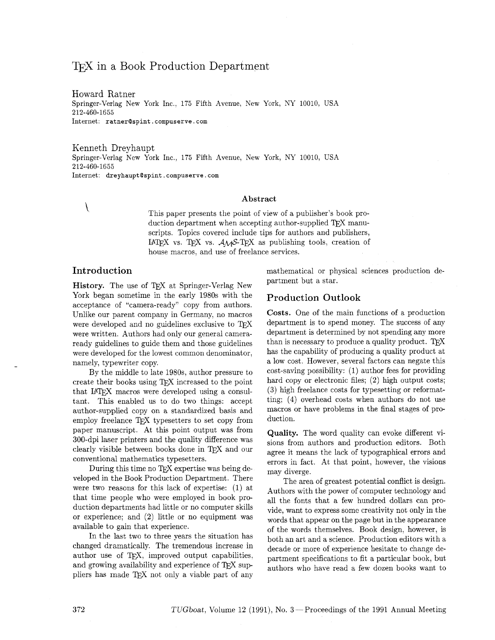# T<sub>F</sub>X in a Book Production Department

Howard Ratner Springer-Verlag New York Inc., 175 Fifth Avenue, New York, NY 10010, USA 212-460-1655 Internet: **ratnerQspint** . **compuserve** . **corn** 

Kenneth Dreyhaupt Springer-Verlag New York Inc., 175 Fifth Avenue, New York, NY 10010, USA 212-460-1655 Internet: **dreyhauptQspint** . **compuserve** . **com** 

#### **Abstract**

\ This paper presents the point of view of a publisher's book production department when accepting author-supplied TFX manuscripts. Topics covered include tips for authors and publishers, LATEX vs. TEX vs.  $A\mathcal{M}S$ -TEX as publishing tools, creation of house macros, and use of freelance services.

### **Introduction**

**History.** The use of TFX at Springer-Verlag New York began sometime in the early 1980s with the acceptance of "camera-ready" copy from authors. Unlike our parent company in Germany, no macros were developed and no guidelines exclusive to TFX were written. Authors had only our general cameraready guidelines to guide them and those guidelines were developed for the lowest common denominator, namely, typewriter copy.

By the middle to late 1980s, author pressure to create their books using TFX increased to the point that IAT<sub>EX</sub> macros were developed using a consultant. This enabled us to do two things: accept author-supplied copy on a standardized basis and employ freelance  $T_F X$  typesetters to set copy from paper manuscript. At this point output was from 300-dpi laser printers and the quality difference was clearly visible between books done in TFX and our conventional mathematics typesetters.

During this time no TFX expertise was being developed in the Book Production Department. There were two reasons for this lack of expertise: (1) at that time people who were employed in book production departments had little or no computer skills or experience; and (2) little or no equipment was available to gain that experience.

In the last two to three years the situation has changed dramatically. The tremendous increase in author use of TEX, improved output capabilities, and growing availability and experience of T<sub>E</sub>X suppliers has made T<sub>E</sub>X not only a viable part of any mathematical or physical sciences production department but a star.

## **Production Outlook**

**Costs.** One of the main functions of a production department is to spend money. The success of any department is determined by not spending any more<br>than is necessary to produce a quality product. TEX has the capability of producing a quality product at a low cost. However, several factors can negate this cost-saving possibility: (1) author fees for providing hard copy or electronic files; (2) high output costs; **(3)** high freelance costs for typesetting or reformatting; (4) overhead costs when authors do not use macros or have problems in the final stages of production.

**Quality.** The word quality can evoke different visions from authors and production editors. Both agree it means the lack of typographical errors and errors in fact. At that point, however, the visions may diverge.

The area of greatest potential conflict is design. Authors with the power of computer technology and all the fonts that a few hundred dollars can provide, want to express some creativity not only in the words that appear on the page but in the appearance of the words themselves. Book design, however, is both an art and a science. Production editors with a decade or more of experience hesitate to change department specifications to fit a particular book, but authors who have read a few dozen books want to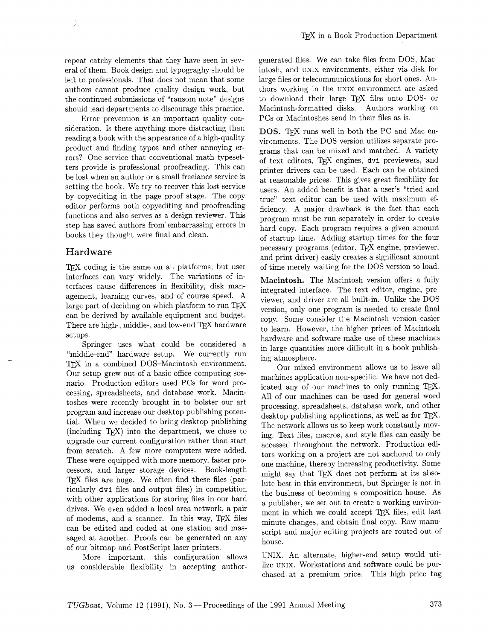repeat catchy elements that they have seen in several of them. Book design and typograghy should be left to professionals. That does not mean that some authors cannot produce quality design work, but the continued submissions of "ransom note" designs should lead departments to discourage this practice.

Error prevention is an important quality consideration. Is there anything more distracting than reading a book with the appearance of a high-quality product and finding typos and other annoying errors? One service that conventional math typesetters provide is professional proofreading. This can be lost when an author or a small freelance service is setting the book. We try to recover this lost service by copyediting in the page proof stage. The copy editor performs both copyediting and proofreading functions and also serves as a design reviewer. This step has saved authors from embarrassing errors in books they thought were final and clean.

#### Hardware

Ž

TFX coding is the same on all platforms, but user interfaces can vary widely. The variations of interfaces cause differences in flexibility, disk management, learning curves, and of course speed. A large part of deciding on which platform to run TEX can be derived by available equipment and budget. There are high-, middle-, and low-end TFX hardware setups.

Springer uses what could be considered a "middle-end" hardware setup. We currently run TFX in a combined DOS-Macintosh environment. Our setup grew out of a basic office computing scenario. Production editors used PCs for word processing, spreadsheets, and database work. Macintoshes were recently brought in to bolster our art program and increase our desktop publishing potential. When we decided to bring desktop publishing (including T<sub>F</sub>X) into the department, we chose to upgrade our current configuration rather than start from scratch. A few more computers were added. These were equipped with more memory, faster processors, and larger storage devices. Book-length TEX files are huge. We often find these files (particularly dvi files and output files) in competition with other applications for storing files in our hard drives. We even added a local area network, a pair of modems, and a scanner. In this way, TEX files can be edited and coded at one station and massaged at another. Proofs can be generated on any of our bitmap and Postscript laser printers.

More important, this configuration allows us considerable flexibility in accepting authorgenerated files. We can take files from DOS, Macintosh, and UNIX environments, either via disk for large files or telecommunications for short ones. Authors working in the UNIX environment are asked to download their large *QjX* files onto DOS- or Macintosh-formatted disks. Authors working on PCs or Macintoshes send in their files as is.

DOS. TFX runs well in both the PC and Mac environments. The DOS version utilizes separate programs that can be mixed and matched. A variety of text editors, TFX engines, dvi previewers, and printer drivers can be used. Each can be obtained at reasonable prices. This gives great flexibility for users. An added benefit is that a user's "tried and true" text editor can be used with maximum efficiency. A major drawback is the fact that each program must be run separately in order to create hard copy. Each program requires a given amount of startup time. Adding startup times for the four necessary programs (editor, T<sub>K</sub>X engine, previewer, and print driver) easily creates a significant amount of time merely waiting for the DOS version to load.

**Macintosh.** The Macintosh version offers a fully integrated interface. The text editor, engine, previewer, and driver are all built-in. Unlike the DOS version, only one program is needed to create final copy. Some consider the Macintosh version easier to learn. However, the higher prices of Macintosh hardware and software make use of these machines in large quantities more difficult in a book publishing atmosphere.

Our mixed environment allows us to leave all machines application non-specific. We have not dedicated any of our machines to only running  $T<sub>F</sub>X$ . All of our machines can be used for general word processing, spreadsheets, database work, and other desktop publishing applications, as well as for  $T_{E}X$ . The network allows us to keep work constantly moving. Text files, macros, and style files can easily be accessed throughout the network. Production editors working on a project are not anchored to only one machine, thereby increasing productivity. Some might say that TFX does not perform at its absolute best in this environment, but Springer is not in the business of becoming a composition house. AS a publisher, we set out to create a working environment in which we could accept *QjX* files, edit last minute changes, and obtain final copy. Raw manuscript and major editing projects are routed out of house.

UNIX. An alternate, higher-end setup would utilize UNIX. Workstations and software could be purchased at a premium price. This high price tag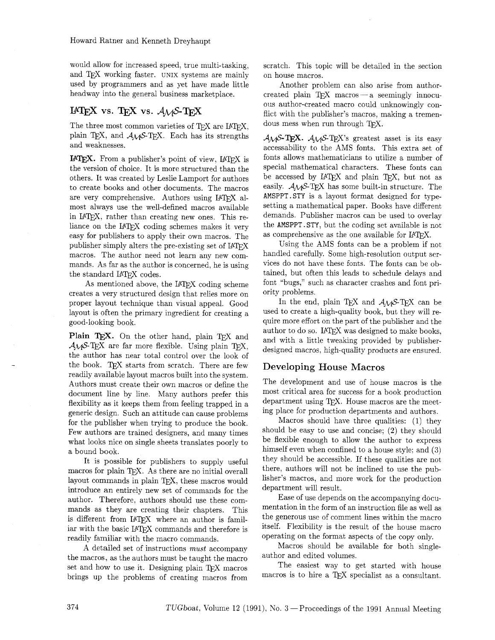would allow for increased speed, true multi-tasking, and T<sub>F</sub>X working faster. UNIX systems are mainly used by programmers and as yet have made little headway into the general business marketplace.

## $IATEX$  vs.  $TEX$  vs.  $A\mathcal{M}S$ - $TEX$

The three most common varieties of TFX are IATFX. plain T<sub>E</sub>X, and  $A_M S$ -T<sub>E</sub>X. Each has its strengths and weaknesses.

IATEX. From a publisher's point of view, IATEX is the version of choice. It is more structured than the others. It was created by Leslie Lamport for authors to create books and other documents. The macros are very comprehensive. Authors using IATFX almost always use the well-defined macros available in IATEX, rather than creating new ones. This reliance on the IATEX coding schemes makes it very easy for publishers to apply their own macros. The publisher simply alters the pre-existing set of IATFX macros. The author need not learn any new commands. As far as the author is concerned, he is using the standard IATFX codes.

As mentioned above, the IAT<sub>F</sub>X coding scheme creates a very structured design that relies more on proper layout technique than visual appeal. Good layout is often the primary ingredient for creating a good-looking book.

Plain TEX. On the other hand, plain TEX and  $\mathcal{A}_{\mathcal{M}}$ S-T<sub>E</sub>X are far more flexible. Using plain T<sub>E</sub>X, the author has near total control over the look of the book. TFX starts from scratch. There are few readily available layout macros built into the system. Authors must create their own macros or define the document line by line. Many authors prefer this flexibility as it keeps them from feeling trapped in a generic design. Such an attitude can cause problems for the publisher when trying to produce the book. Few authors are trained designers, and many times what looks nice on single sheets translates poorly to a bound book.

It is possible for publishers to supply useful macros for plain TFX. As there are no initial overall layout commands in plain TEX, these macros would introduce an entirely new set of commands for the author. Therefore, authors should use these commands as they are creating their chapters. This is different from IATEX where an author is familiar with the basic IATEX commands and therefore is readily familiar with the macro commands.

A detailed set of instructions must accompany the macros, as the authors must be taught the macro set and how to use it. Designing plain TFX macros brings up the problems of creating macros from scratch. This topic will be detailed in the section on house macros.

Another problem can also arise from authorcreated plain TEX macros - a seemingly innocuous author-created macro could unknowingly conflict with the publisher's macros, making a tremendous mess when run through TFX.

 $A_{\mathcal{M}}S$ -T<sub>E</sub>X.  $A_{\mathcal{M}}S$ -T<sub>E</sub>X's greatest asset is its easy accessability to the AMS fonts. This extra set of fonts allows mathematicians to utilize a number of special mathematical characters. These fonts can be accessed by  $IATFX$  and plain TFX, but not as easily.  $A_{\mathcal{M}}S$ -TEX has some built-in structure. The **AMSPPT.STY** is a layout format designed for typesetting a mathematical paper. Books have different demands. Publisher macros can be used to overlay the **AMSPPT** . **STY,** but the coding set available is not as comprehensive as the one available for IATFX.

Using the AMS fonts can be a problem if not handled carefully. Some high-resolution output services do not have these fonts. The fonts can be obtained, but often this leads to schedule delays and font "bugs," such as character crashes and font priority problems.

In the end, plain TEX and  $A\mathcal{M}S$ -TEX can be used to create a high-quality book, but they will require more effort on the part of the publisher and the author to do so. IATFX was designed to make books. and with a little tweaking provided by publisherdesigned macros, high-quality products are ensured.

## Developing House Macros

The development and use of house macros is the most critical area for success for a book production department using T<sub>F</sub>X. House macros are the meeting place for production departments and authors.

Macros should have three qualities: (1) they should be easy to use and concise; (2) they should be flexible enough to allow the author to express himself even when confined to a house style; and (3) they should be accessible. If these qualities are not there, authors will not be inclined to use the publisher's macros, and more work for the production department will result.

Ease of use depends on the accompanying documentation in the form of an instruction file as well as the generous use of comment lines within the macro itself. FlexibiIity is the result of the house macro operating on the format aspects of the copy only.

Macros should be available for both singleauthor and edited volumes.

The easiest way to get started with house macros is to hire a TEX specialist as a consultant.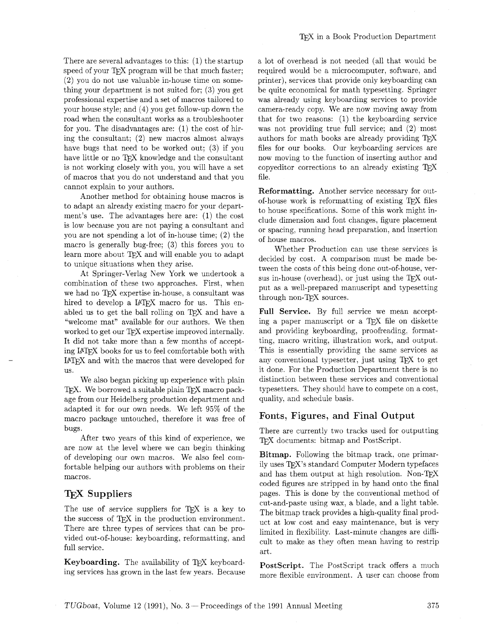There are several advantages to this: (1) the startup speed of your TFX program will be that much faster; (2) you do not use valuable in-house time on something your department is not suited for; (3) you get professional expertise and a set of macros tailored to your house style; and (4) you get follow-up down the road when the consultant works as a troubleshooter for you. The disadvantages are: (1) the cost of hiring the consultant; (2) new macros almost always have bugs that need to be worked out; (3) if you have little or no TFX knowledge and the consultant is not working closely with you, you will have a set of macros that you do not understand and that you cannot explain to your authors.

Another method for obtaining house macros is to adapt an already existing macro for your department's use. The advantages here are: (1) the cost is low because you are not paying a consultant and you are not spending a lot of in-house time; (2) the macro is generally bug-free; (3) this forces you to learn more about TFX and will enable you to adapt to unique situations when they arise.

At Springer-Verlag New York we undertook a combination of these two approaches. First, when we had no TFX expertise in-house, a consultant was hired to develop a IATEX macro for us. This enabled us to get the ball rolling on TEX and have a "welcome mat" available for our authors. We then worked to get our TFX expertise improved internally. It did not take more than a few months of accepting IATEX books for us to feel comfortable both with **I4TFX** and with the macros that were developed for US.

We also began picking up experience with plain **TEX.** We borrowed a suitable plain TEX macro package from our Heidelberg production department and adapted it for our own needs. We left 95% of the macro package untouched, therefore it was free of bugs.

After two years of this kind of experience, we are now at the level where we can begin thinking of developing our own macros. We also feel comfortable helping our authors with problems on their macros.

## **TFX** Suppliers

The use of service suppliers for T<sub>E</sub>X is a key to the success of T<sub>E</sub>X in the production environment. There are three types of services that can be provided out-of-house: keyboarding, reformatting, and full service.

Keyboarding. The availability of TFX keyboarding services has grown in the last few years. Because a lot of overhead is not needed (all that would be required would be a microcomputer, software, and printer), services that provide only keyboarding can be quite economical for math typesetting. Springer was already using keyboarding services to provide camera-ready copy. We are now moving away from that for two reasons:  $(1)$  the keyboarding service was not providing true full service; and  $(2)$  most authors for math books are already providing TEX files for our books. Our keyboarding services are now moving to the function of inserting author and copyeditor corrections to an already existing file.

Reformatting. Another service necessary for outof-house work is reformatting of existing  $Tr X$  files to house specifications. Some of this work might include dimension and font changes, figure placement or spacing, running head preparation, and insertion of house macros.

Whether Production can use these services is decided by cost. A comparison must be made between the costs of this being done out-of-house, versus in-house (overhead), or just using the  $T_F X$  output as a well-prepared manuscript and typesetting through non-TFX sources.

Full Service. By full service we mean accepting a paper manuscript or a TFX file on diskette and providing keyboarding, proofreading, formatting, macro writing, illustration work, and output. This is essentially providing the same services as any conventional typesetter, just using TEX to get it done. For the Production Department there is no distinction between these services and conventional typesetters. They should have to compete on a cost, quality, and schedule basis.

## Fonts, Figures, and Final Output

There are currently two tracks used for outputting TFX documents: bitmap and PostScript.

Bitmap. Following the bitmap track, one primarily uses TFX's standard Computer Modern typefaces and has them output at high resolution. Non- $T_{F}X$ coded figures are stripped in by hand onto the final pages. This is done by the conventional method of cut-and-paste using wax, a blade, and a light table. The bitmap track provides a high-quality final product at low cost and easy maintenance, but is very limited in flexibility. Last-minute changes are difficult to make as they often mean having to restrip art.

PostScript. The PostScript track offers a much more flexible environment. A user can choose from